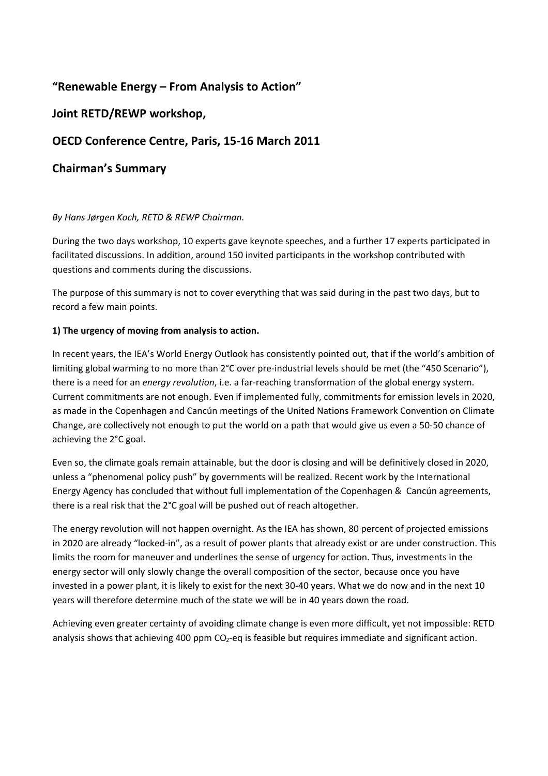# **"Renewable Energy – From Analysis to Action"**

## **Joint RETD/REWP workshop,**

## **OECD Conference Centre, Paris, 15‐16 March 2011**

## **Chairman's Summary**

### *By Hans Jørgen Koch, RETD & REWP Chairman.*

During the two days workshop, 10 experts gave keynote speeches, and a further 17 experts participated in facilitated discussions. In addition, around 150 invited participants in the workshop contributed with questions and comments during the discussions.

The purpose of this summary is not to cover everything that was said during in the past two days, but to record a few main points.

### **1) The urgency of moving from analysis to action.**

In recent years, the IEA's World Energy Outlook has consistently pointed out, that if the world's ambition of limiting global warming to no more than 2°C over pre-industrial levels should be met (the "450 Scenario"), there is a need for an *energy revolution*, i.e. a far‐reaching transformation of the global energy system. Current commitments are not enough. Even if implemented fully, commitments for emission levels in 2020, as made in the Copenhagen and Cancún meetings of the United Nations Framework Convention on Climate Change, are collectively not enough to put the world on a path that would give us even a 50‐50 chance of achieving the 2°C goal.

Even so, the climate goals remain attainable, but the door is closing and will be definitively closed in 2020, unless a "phenomenal policy push" by governments will be realized. Recent work by the International Energy Agency has concluded that without full implementation of the Copenhagen & Cancún agreements, there is a real risk that the 2°C goal will be pushed out of reach altogether.

The energy revolution will not happen overnight. As the IEA has shown, 80 percent of projected emissions in 2020 are already "locked‐in", as a result of power plants that already exist or are under construction. This limits the room for maneuver and underlines the sense of urgency for action. Thus, investments in the energy sector will only slowly change the overall composition of the sector, because once you have invested in a power plant, it is likely to exist for the next 30‐40 years. What we do now and in the next 10 years will therefore determine much of the state we will be in 40 years down the road.

Achieving even greater certainty of avoiding climate change is even more difficult, yet not impossible: RETD analysis shows that achieving 400 ppm  $CO<sub>2</sub>$ -eq is feasible but requires immediate and significant action.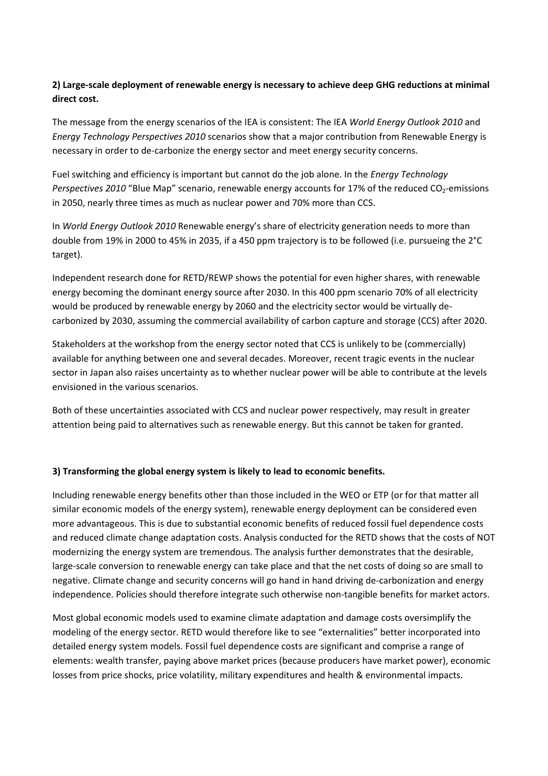### **2) Large‐scale deployment of renewable energy is necessary to achieve deep GHG reductions at minimal direct cost.**

The message from the energy scenarios of the IEA is consistent: The IEA *World Energy Outlook 2010* and *Energy Technology Perspectives 2010* scenarios show that a major contribution from Renewable Energy is necessary in order to de‐carbonize the energy sector and meet energy security concerns.

Fuel switching and efficiency is important but cannot do the job alone. In the *Energy Technology Perspectives* 2010 "Blue Map" scenario, renewable energy accounts for 17% of the reduced CO<sub>2</sub>-emissions in 2050, nearly three times as much as nuclear power and 70% more than CCS.

In *World Energy Outlook 2010* Renewable energy's share of electricity generation needs to more than double from 19% in 2000 to 45% in 2035, if a 450 ppm trajectory is to be followed (i.e. pursueing the 2°C target).

Independent research done for RETD/REWP shows the potential for even higher shares, with renewable energy becoming the dominant energy source after 2030. In this 400 ppm scenario 70% of all electricity would be produced by renewable energy by 2060 and the electricity sector would be virtually de‐ carbonized by 2030, assuming the commercial availability of carbon capture and storage (CCS) after 2020.

Stakeholders at the workshop from the energy sector noted that CCS is unlikely to be (commercially) available for anything between one and several decades. Moreover, recent tragic events in the nuclear sector in Japan also raises uncertainty as to whether nuclear power will be able to contribute at the levels envisioned in the various scenarios.

Both of these uncertainties associated with CCS and nuclear power respectively, may result in greater attention being paid to alternatives such as renewable energy. But this cannot be taken for granted.

### **3) Transforming the global energy system is likely to lead to economic benefits.**

Including renewable energy benefits other than those included in the WEO or ETP (or for that matter all similar economic models of the energy system), renewable energy deployment can be considered even more advantageous. This is due to substantial economic benefits of reduced fossil fuel dependence costs and reduced climate change adaptation costs. Analysis conducted for the RETD shows that the costs of NOT modernizing the energy system are tremendous. The analysis further demonstrates that the desirable, large-scale conversion to renewable energy can take place and that the net costs of doing so are small to negative. Climate change and security concerns will go hand in hand driving de‐carbonization and energy independence. Policies should therefore integrate such otherwise non-tangible benefits for market actors.

Most global economic models used to examine climate adaptation and damage costs oversimplify the modeling of the energy sector. RETD would therefore like to see "externalities" better incorporated into detailed energy system models. Fossil fuel dependence costs are significant and comprise a range of elements: wealth transfer, paying above market prices (because producers have market power), economic losses from price shocks, price volatility, military expenditures and health & environmental impacts.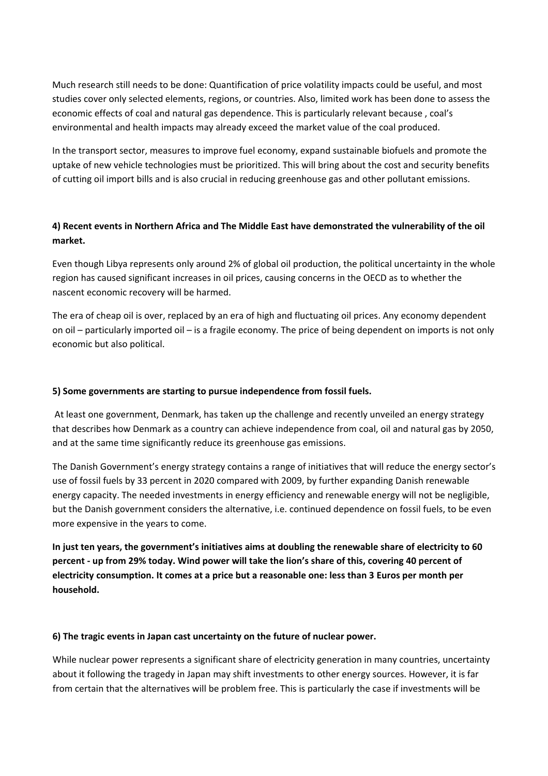Much research still needs to be done: Quantification of price volatility impacts could be useful, and most studies cover only selected elements, regions, or countries. Also, limited work has been done to assess the economic effects of coal and natural gas dependence. This is particularly relevant because , coal's environmental and health impacts may already exceed the market value of the coal produced.

In the transport sector, measures to improve fuel economy, expand sustainable biofuels and promote the uptake of new vehicle technologies must be prioritized. This will bring about the cost and security benefits of cutting oil import bills and is also crucial in reducing greenhouse gas and other pollutant emissions.

## **4) Recent events in Northern Africa and The Middle East have demonstrated the vulnerability of the oil market.**

Even though Libya represents only around 2% of global oil production, the political uncertainty in the whole region has caused significant increases in oil prices, causing concerns in the OECD as to whether the nascent economic recovery will be harmed.

The era of cheap oil is over, replaced by an era of high and fluctuating oil prices. Any economy dependent on oil – particularly imported oil – is a fragile economy. The price of being dependent on imports is not only economic but also political.

### **5) Some governments are starting to pursue independence from fossil fuels.**

At least one government, Denmark, has taken up the challenge and recently unveiled an energy strategy that describes how Denmark as a country can achieve independence from coal, oil and natural gas by 2050, and at the same time significantly reduce its greenhouse gas emissions.

The Danish Government's energy strategy contains a range of initiatives that will reduce the energy sector's use of fossil fuels by 33 percent in 2020 compared with 2009, by further expanding Danish renewable energy capacity. The needed investments in energy efficiency and renewable energy will not be negligible, but the Danish government considers the alternative, i.e. continued dependence on fossil fuels, to be even more expensive in the years to come.

**In just ten years, the government's initiatives aims at doubling the renewable share of electricity to 60** percent - up from 29% today. Wind power will take the lion's share of this, covering 40 percent of **electricity consumption. It comes at a price but a reasonable one: less than 3 Euros per month per household.**

### **6) The tragic events in Japan cast uncertainty on the future of nuclear power.**

While nuclear power represents a significant share of electricity generation in many countries, uncertainty about it following the tragedy in Japan may shift investments to other energy sources. However, it is far from certain that the alternatives will be problem free. This is particularly the case if investments will be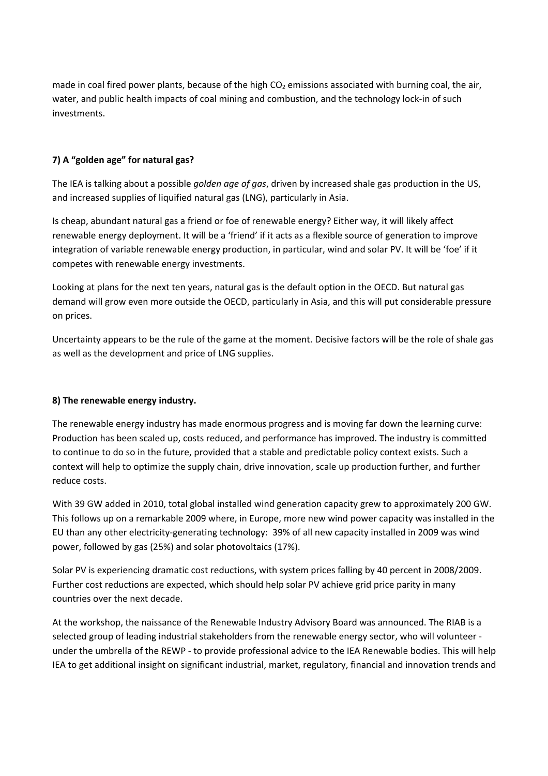made in coal fired power plants, because of the high  $CO<sub>2</sub>$  emissions associated with burning coal, the air, water, and public health impacts of coal mining and combustion, and the technology lock-in of such investments.

### **7) A "golden age" for natural gas?**

The IEA is talking about a possible *golden age of gas*, driven by increased shale gas production in the US, and increased supplies of liquified natural gas (LNG), particularly in Asia.

Is cheap, abundant natural gas a friend or foe of renewable energy? Either way, it will likely affect renewable energy deployment. It will be a 'friend' if it acts as a flexible source of generation to improve integration of variable renewable energy production, in particular, wind and solar PV. It will be 'foe' if it competes with renewable energy investments.

Looking at plans for the next ten years, natural gas is the default option in the OECD. But natural gas demand will grow even more outside the OECD, particularly in Asia, and this will put considerable pressure on prices.

Uncertainty appears to be the rule of the game at the moment. Decisive factors will be the role of shale gas as well as the development and price of LNG supplies.

### **8) The renewable energy industry.**

The renewable energy industry has made enormous progress and is moving far down the learning curve: Production has been scaled up, costs reduced, and performance has improved. The industry is committed to continue to do so in the future, provided that a stable and predictable policy context exists. Such a context will help to optimize the supply chain, drive innovation, scale up production further, and further reduce costs.

With 39 GW added in 2010, total global installed wind generation capacity grew to approximately 200 GW. This follows up on a remarkable 2009 where, in Europe, more new wind power capacity was installed in the EU than any other electricity‐generating technology: 39% of all new capacity installed in 2009 was wind power, followed by gas (25%) and solar photovoltaics (17%).

Solar PV is experiencing dramatic cost reductions, with system prices falling by 40 percent in 2008/2009. Further cost reductions are expected, which should help solar PV achieve grid price parity in many countries over the next decade.

At the workshop, the naissance of the Renewable Industry Advisory Board was announced. The RIAB is a selected group of leading industrial stakeholders from the renewable energy sector, who will volunteer ‐ under the umbrella of the REWP ‐ to provide professional advice to the IEA Renewable bodies. This will help IEA to get additional insight on significant industrial, market, regulatory, financial and innovation trends and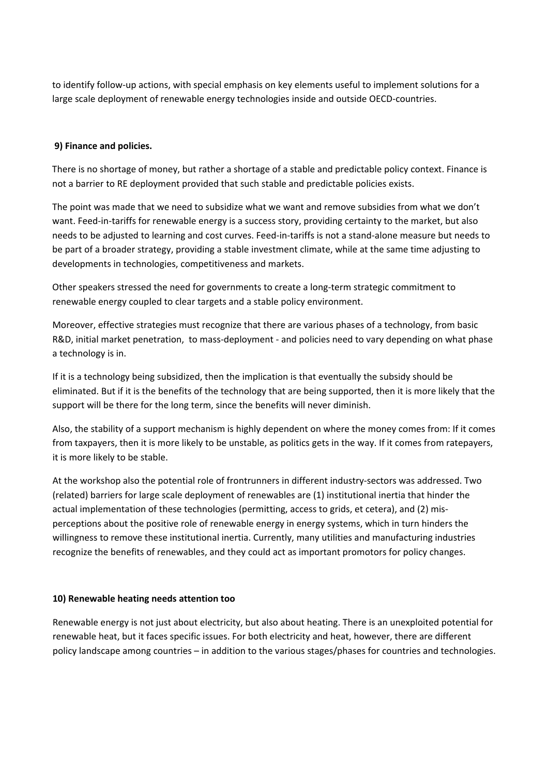to identify follow‐up actions, with special emphasis on key elements useful to implement solutions for a large scale deployment of renewable energy technologies inside and outside OECD‐countries.

#### **9) Finance and policies.**

There is no shortage of money, but rather a shortage of a stable and predictable policy context. Finance is not a barrier to RE deployment provided that such stable and predictable policies exists.

The point was made that we need to subsidize what we want and remove subsidies from what we don't want. Feed-in-tariffs for renewable energy is a success story, providing certainty to the market, but also needs to be adjusted to learning and cost curves. Feed‐in‐tariffs is not a stand‐alone measure but needs to be part of a broader strategy, providing a stable investment climate, while at the same time adjusting to developments in technologies, competitiveness and markets.

Other speakers stressed the need for governments to create a long-term strategic commitment to renewable energy coupled to clear targets and a stable policy environment.

Moreover, effective strategies must recognize that there are various phases of a technology, from basic R&D, initial market penetration, to mass-deployment - and policies need to vary depending on what phase a technology is in.

If it is a technology being subsidized, then the implication is that eventually the subsidy should be eliminated. But if it is the benefits of the technology that are being supported, then it is more likely that the support will be there for the long term, since the benefits will never diminish.

Also, the stability of a support mechanism is highly dependent on where the money comes from: If it comes from taxpayers, then it is more likely to be unstable, as politics gets in the way. If it comes from ratepayers, it is more likely to be stable.

At the workshop also the potential role of frontrunners in different industry‐sectors was addressed. Two (related) barriers for large scale deployment of renewables are (1) institutional inertia that hinder the actual implementation of these technologies (permitting, access to grids, et cetera), and (2) mis‐ perceptions about the positive role of renewable energy in energy systems, which in turn hinders the willingness to remove these institutional inertia. Currently, many utilities and manufacturing industries recognize the benefits of renewables, and they could act as important promotors for policy changes.

#### **10) Renewable heating needs attention too**

Renewable energy is not just about electricity, but also about heating. There is an unexploited potential for renewable heat, but it faces specific issues. For both electricity and heat, however, there are different policy landscape among countries – in addition to the various stages/phases for countries and technologies.